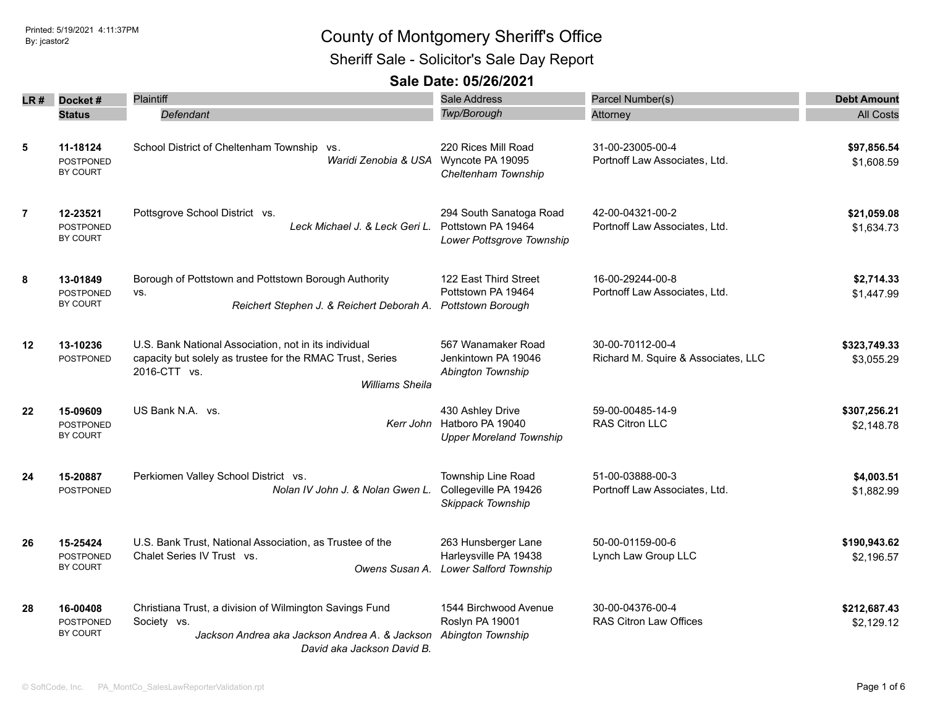Sheriff Sale - Solicitor's Sale Day Report

|                |                                                 | <b>Plaintiff</b>                                                                                                                                             | Sale Address                                                                     |                                                         |                            |
|----------------|-------------------------------------------------|--------------------------------------------------------------------------------------------------------------------------------------------------------------|----------------------------------------------------------------------------------|---------------------------------------------------------|----------------------------|
|                | $LR#$ Docket#                                   |                                                                                                                                                              |                                                                                  | Parcel Number(s)                                        | <b>Debt Amount</b>         |
|                | <b>Status</b>                                   | Defendant                                                                                                                                                    | <b>Twp/Borough</b>                                                               | Attorney                                                | <b>All Costs</b>           |
| $\sqrt{5}$     | 11-18124<br><b>POSTPONED</b><br>BY COURT        | School District of Cheltenham Township vs.<br>Waridi Zenobia & USA Wyncote PA 19095                                                                          | 220 Rices Mill Road<br>Cheltenham Township                                       | 31-00-23005-00-4<br>Portnoff Law Associates, Ltd.       | \$97,856.54<br>\$1,608.59  |
| $\overline{7}$ | 12-23521<br><b>POSTPONED</b><br>BY COURT        | Pottsgrove School District vs.<br>Leck Michael J. & Leck Geri L.                                                                                             | 294 South Sanatoga Road<br>Pottstown PA 19464<br>Lower Pottsgrove Township       | 42-00-04321-00-2<br>Portnoff Law Associates, Ltd.       | \$21,059.08<br>\$1,634.73  |
| 8              | 13-01849<br><b>POSTPONED</b><br><b>BY COURT</b> | Borough of Pottstown and Pottstown Borough Authority<br>VS.<br>Reichert Stephen J. & Reichert Deborah A.                                                     | 122 East Third Street<br>Pottstown PA 19464<br><b>Pottstown Borough</b>          | 16-00-29244-00-8<br>Portnoff Law Associates, Ltd.       | \$2,714.33<br>\$1,447.99   |
| $12 \,$        | 13-10236<br><b>POSTPONED</b>                    | U.S. Bank National Association, not in its individual<br>capacity but solely as trustee for the RMAC Trust, Series<br>2016-CTT vs.<br><b>Williams Sheila</b> | 567 Wanamaker Road<br>Jenkintown PA 19046<br>Abington Township                   | 30-00-70112-00-4<br>Richard M. Squire & Associates, LLC | \$323,749.33<br>\$3,055.29 |
| 22             | 15-09609<br><b>POSTPONED</b><br>BY COURT        | US Bank N.A. vs.                                                                                                                                             | 430 Ashley Drive<br>Kerr John Hatboro PA 19040<br><b>Upper Moreland Township</b> | 59-00-00485-14-9<br>RAS Citron LLC                      | \$307,256.21<br>\$2,148.78 |
| 24             | 15-20887<br><b>POSTPONED</b>                    | Perkiomen Valley School District vs.<br>Nolan IV John J. & Nolan Gwen L.                                                                                     | Township Line Road<br>Collegeville PA 19426<br>Skippack Township                 | 51-00-03888-00-3<br>Portnoff Law Associates, Ltd.       | \$4,003.51<br>\$1,882.99   |
| 26             | 15-25424<br>POSTPONED<br>BY COURT               | U.S. Bank Trust, National Association, as Trustee of the<br>Chalet Series IV Trust vs.<br>Owens Susan A.                                                     | 263 Hunsberger Lane<br>Harleysville PA 19438<br><b>Lower Salford Township</b>    | 50-00-01159-00-6<br>Lynch Law Group LLC                 | \$190,943.62<br>\$2,196.57 |
| 28             | 16-00408<br><b>POSTPONED</b><br><b>BY COURT</b> | Christiana Trust, a division of Wilmington Savings Fund<br>Society vs.<br>Jackson Andrea aka Jackson Andrea A. & Jackson<br>David aka Jackson David B.       | 1544 Birchwood Avenue<br>Roslyn PA 19001<br>Abington Township                    | 30-00-04376-00-4<br>RAS Citron Law Offices              | \$212,687.43<br>\$2,129.12 |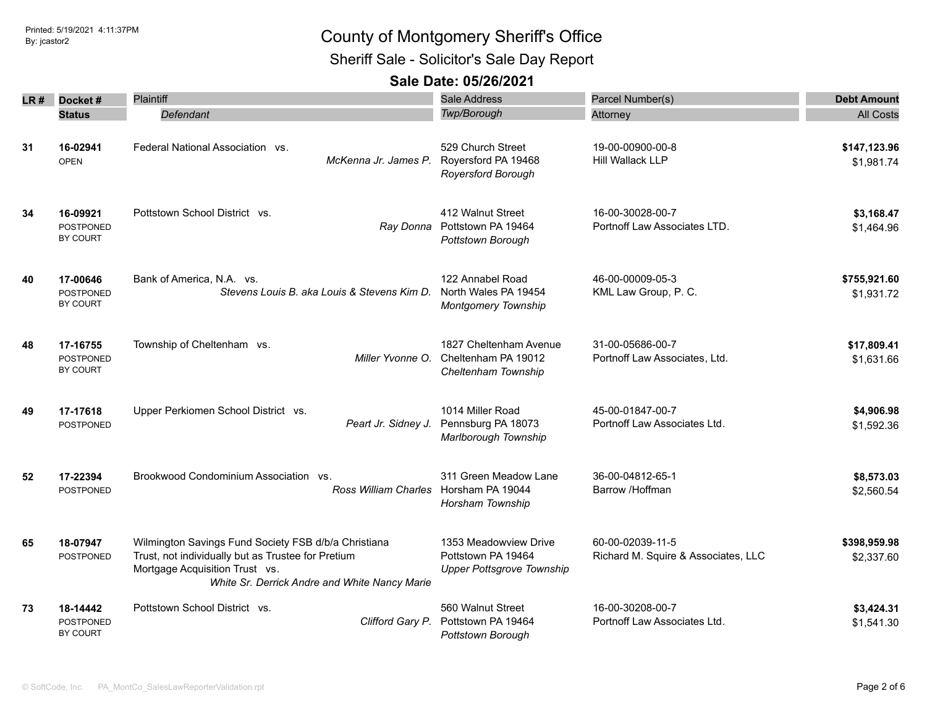Sheriff Sale - Solicitor's Sale Day Report

| LR # | Docket#                                  | Plaintiff                                                                                                                                                                                     | <b>Sale Address</b>                                                             | Parcel Number(s)                                        | <b>Debt Amount</b>         |
|------|------------------------------------------|-----------------------------------------------------------------------------------------------------------------------------------------------------------------------------------------------|---------------------------------------------------------------------------------|---------------------------------------------------------|----------------------------|
|      | <b>Status</b>                            | Defendant                                                                                                                                                                                     | Twp/Borough                                                                     | Attorney                                                | <b>All Costs</b>           |
| 31   | 16-02941<br><b>OPEN</b>                  | Federal National Association vs.<br>McKenna Jr. James P.                                                                                                                                      | 529 Church Street<br>Royersford PA 19468<br><b>Royersford Borough</b>           | 19-00-00900-00-8<br>Hill Wallack LLP                    | \$147,123.96<br>\$1,981.74 |
| 34   | 16-09921<br><b>POSTPONED</b><br>BY COURT | Pottstown School District vs.                                                                                                                                                                 | 412 Walnut Street<br>Ray Donna Pottstown PA 19464<br>Pottstown Borough          | 16-00-30028-00-7<br>Portnoff Law Associates LTD.        | \$3,168.47<br>\$1,464.96   |
| 40   | 17-00646<br><b>POSTPONED</b><br>BY COURT | Bank of America, N.A. vs.<br>Stevens Louis B. aka Louis & Stevens Kim D.                                                                                                                      | 122 Annabel Road<br>North Wales PA 19454<br><b>Montgomery Township</b>          | 46-00-00009-05-3<br>KML Law Group, P. C.                | \$755,921.60<br>\$1,931.72 |
| 48   | 17-16755<br><b>POSTPONED</b><br>BY COURT | Township of Cheltenham vs.<br>Miller Yvonne O.                                                                                                                                                | 1827 Cheltenham Avenue<br>Cheltenham PA 19012<br>Cheltenham Township            | 31-00-05686-00-7<br>Portnoff Law Associates, Ltd.       | \$17,809.41<br>\$1,631.66  |
| 49   | 17-17618<br><b>POSTPONED</b>             | Upper Perkiomen School District vs.<br>Peart Jr. Sidney J.                                                                                                                                    | 1014 Miller Road<br>Pennsburg PA 18073<br>Marlborough Township                  | 45-00-01847-00-7<br>Portnoff Law Associates Ltd.        | \$4,906.98<br>\$1,592.36   |
| 52   | 17-22394<br><b>POSTPONED</b>             | Brookwood Condominium Association vs.<br>Ross William Charles                                                                                                                                 | 311 Green Meadow Lane<br>Horsham PA 19044<br>Horsham Township                   | 36-00-04812-65-1<br>Barrow /Hoffman                     | \$8,573.03<br>\$2,560.54   |
| 65   | 18-07947<br><b>POSTPONED</b>             | Wilmington Savings Fund Society FSB d/b/a Christiana<br>Trust, not individually but as Trustee for Pretium<br>Mortgage Acquisition Trust vs.<br>White Sr. Derrick Andre and White Nancy Marie | 1353 Meadowview Drive<br>Pottstown PA 19464<br><b>Upper Pottsgrove Township</b> | 60-00-02039-11-5<br>Richard M. Squire & Associates, LLC | \$398,959.98<br>\$2,337.60 |
| 73   | 18-14442<br>POSTPONED<br>BY COURT        | Pottstown School District vs.<br>Clifford Gary P.                                                                                                                                             | 560 Walnut Street<br>Pottstown PA 19464<br>Pottstown Borough                    | 16-00-30208-00-7<br>Portnoff Law Associates Ltd.        | \$3,424.31<br>\$1,541.30   |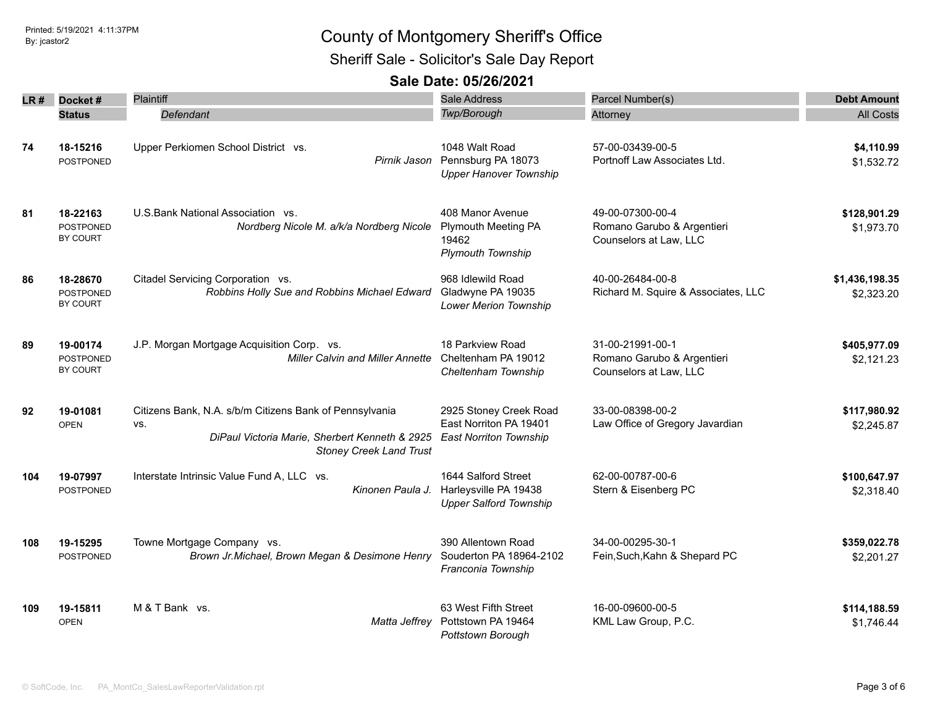Sheriff Sale - Solicitor's Sale Day Report

| LR # | Docket#                                         | <b>Plaintiff</b>                                                                                                                                   | <b>Sale Address</b>                                                                 | Parcel Number(s)                                                         | <b>Debt Amount</b>           |
|------|-------------------------------------------------|----------------------------------------------------------------------------------------------------------------------------------------------------|-------------------------------------------------------------------------------------|--------------------------------------------------------------------------|------------------------------|
|      | <b>Status</b>                                   | Defendant                                                                                                                                          | Twp/Borough                                                                         | Attorney                                                                 | <b>All Costs</b>             |
| 74   | 18-15216<br>POSTPONED                           | Upper Perkiomen School District vs.<br>Pirnik Jason                                                                                                | 1048 Walt Road<br>Pennsburg PA 18073<br><b>Upper Hanover Township</b>               | 57-00-03439-00-5<br>Portnoff Law Associates Ltd.                         | \$4,110.99<br>\$1,532.72     |
| 81   | 18-22163<br>POSTPONED<br>BY COURT               | U.S.Bank National Association vs.<br>Nordberg Nicole M. a/k/a Nordberg Nicole                                                                      | 408 Manor Avenue<br><b>Plymouth Meeting PA</b><br>19462<br><b>Plymouth Township</b> | 49-00-07300-00-4<br>Romano Garubo & Argentieri<br>Counselors at Law, LLC | \$128,901.29<br>\$1,973.70   |
| 86   | 18-28670<br><b>POSTPONED</b><br>BY COURT        | Citadel Servicing Corporation vs.<br>Robbins Holly Sue and Robbins Michael Edward                                                                  | 968 Idlewild Road<br>Gladwyne PA 19035<br><b>Lower Merion Township</b>              | 40-00-26484-00-8<br>Richard M. Squire & Associates, LLC                  | \$1,436,198.35<br>\$2,323.20 |
| 89   | 19-00174<br><b>POSTPONED</b><br><b>BY COURT</b> | J.P. Morgan Mortgage Acquisition Corp. vs.<br><b>Miller Calvin and Miller Annette</b>                                                              | 18 Parkview Road<br>Cheltenham PA 19012<br>Cheltenham Township                      | 31-00-21991-00-1<br>Romano Garubo & Argentieri<br>Counselors at Law, LLC | \$405,977.09<br>\$2,121.23   |
| 92   | 19-01081<br><b>OPEN</b>                         | Citizens Bank, N.A. s/b/m Citizens Bank of Pennsylvania<br>VS.<br>DiPaul Victoria Marie, Sherbert Kenneth & 2925<br><b>Stoney Creek Land Trust</b> | 2925 Stoney Creek Road<br>East Norriton PA 19401<br><b>East Norriton Township</b>   | 33-00-08398-00-2<br>Law Office of Gregory Javardian                      | \$117,980.92<br>\$2,245.87   |
| 104  | 19-07997<br>POSTPONED                           | Interstate Intrinsic Value Fund A, LLC vs.<br>Kinonen Paula J.                                                                                     | 1644 Salford Street<br>Harleysville PA 19438<br><b>Upper Salford Township</b>       | 62-00-00787-00-6<br>Stern & Eisenberg PC                                 | \$100,647.97<br>\$2,318.40   |
| 108  | 19-15295<br>POSTPONED                           | Towne Mortgage Company vs.<br>Brown Jr.Michael, Brown Megan & Desimone Henry                                                                       | 390 Allentown Road<br>Souderton PA 18964-2102<br>Franconia Township                 | 34-00-00295-30-1<br>Fein, Such, Kahn & Shepard PC                        | \$359,022.78<br>\$2,201.27   |
| 109  | 19-15811<br><b>OPEN</b>                         | M & T Bank vs.<br>Matta Jeffrey                                                                                                                    | 63 West Fifth Street<br>Pottstown PA 19464<br>Pottstown Borough                     | 16-00-09600-00-5<br>KML Law Group, P.C.                                  | \$114,188.59<br>\$1,746.44   |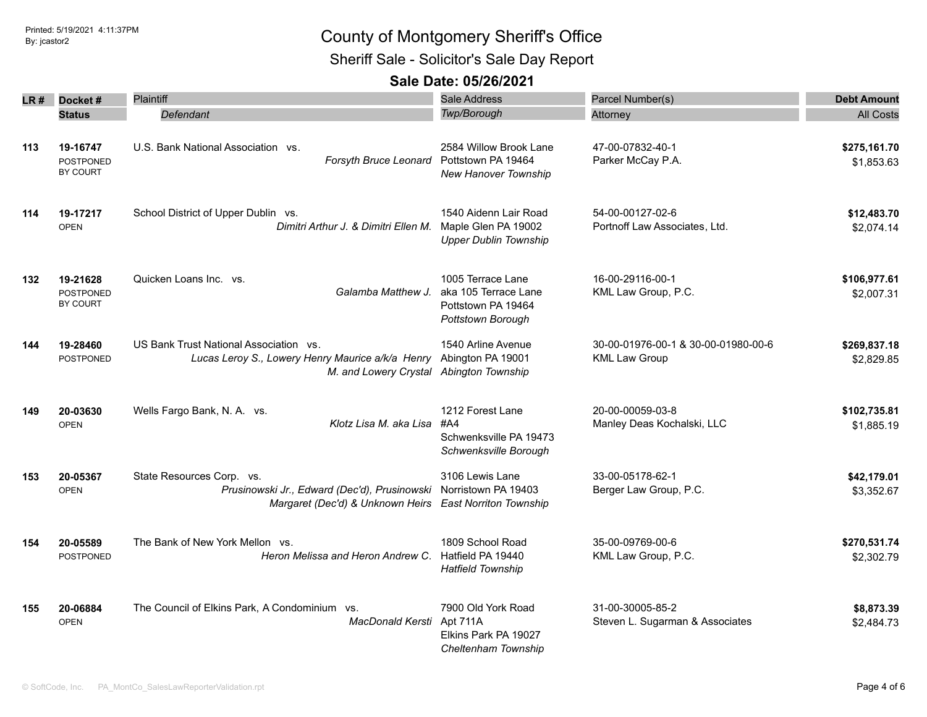Sheriff Sale - Solicitor's Sale Day Report

| LR# | Docket#                                  | <b>Plaintiff</b>                                                                                                                      | <b>Sale Address</b>                                                                  | Parcel Number(s)                                            | <b>Debt Amount</b>         |
|-----|------------------------------------------|---------------------------------------------------------------------------------------------------------------------------------------|--------------------------------------------------------------------------------------|-------------------------------------------------------------|----------------------------|
|     | <b>Status</b>                            | Defendant                                                                                                                             | <b>Twp/Borough</b>                                                                   | Attorney                                                    | <b>All Costs</b>           |
| 113 | 19-16747<br><b>POSTPONED</b><br>BY COURT | U.S. Bank National Association vs.<br>Forsyth Bruce Leonard                                                                           | 2584 Willow Brook Lane<br>Pottstown PA 19464<br>New Hanover Township                 | 47-00-07832-40-1<br>Parker McCay P.A.                       | \$275,161.70<br>\$1,853.63 |
| 114 | 19-17217<br><b>OPEN</b>                  | School District of Upper Dublin vs.<br>Dimitri Arthur J. & Dimitri Ellen M.                                                           | 1540 Aidenn Lair Road<br>Maple Glen PA 19002<br><b>Upper Dublin Township</b>         | 54-00-00127-02-6<br>Portnoff Law Associates, Ltd.           | \$12,483.70<br>\$2,074.14  |
| 132 | 19-21628<br><b>POSTPONED</b><br>BY COURT | Quicken Loans Inc. vs.<br>Galamba Matthew J.                                                                                          | 1005 Terrace Lane<br>aka 105 Terrace Lane<br>Pottstown PA 19464<br>Pottstown Borough | 16-00-29116-00-1<br>KML Law Group, P.C.                     | \$106,977.61<br>\$2,007.31 |
| 144 | 19-28460<br><b>POSTPONED</b>             | US Bank Trust National Association vs.<br>Lucas Leroy S., Lowery Henry Maurice a/k/a Henry<br>M. and Lowery Crystal Abington Township | 1540 Arline Avenue<br>Abington PA 19001                                              | 30-00-01976-00-1 & 30-00-01980-00-6<br><b>KML Law Group</b> | \$269,837.18<br>\$2,829.85 |
| 149 | 20-03630<br><b>OPEN</b>                  | Wells Fargo Bank, N. A. vs.<br>Klotz Lisa M. aka Lisa                                                                                 | 1212 Forest Lane<br>#A4<br>Schwenksville PA 19473<br>Schwenksville Borough           | 20-00-00059-03-8<br>Manley Deas Kochalski, LLC              | \$102,735.81<br>\$1,885.19 |
| 153 | 20-05367<br><b>OPEN</b>                  | State Resources Corp. vs.<br>Prusinowski Jr., Edward (Dec'd), Prusinowski<br>Margaret (Dec'd) & Unknown Heirs East Norriton Township  | 3106 Lewis Lane<br>Norristown PA 19403                                               | 33-00-05178-62-1<br>Berger Law Group, P.C.                  | \$42,179.01<br>\$3,352.67  |
| 154 | 20-05589<br><b>POSTPONED</b>             | The Bank of New York Mellon vs.<br>Heron Melissa and Heron Andrew C.                                                                  | 1809 School Road<br>Hatfield PA 19440<br><b>Hatfield Township</b>                    | 35-00-09769-00-6<br>KML Law Group, P.C.                     | \$270,531.74<br>\$2,302.79 |
| 155 | 20-06884<br><b>OPEN</b>                  | The Council of Elkins Park, A Condominium vs.<br>MacDonald Kersti                                                                     | 7900 Old York Road<br>Apt 711A<br>Elkins Park PA 19027<br>Cheltenham Township        | 31-00-30005-85-2<br>Steven L. Sugarman & Associates         | \$8,873.39<br>\$2,484.73   |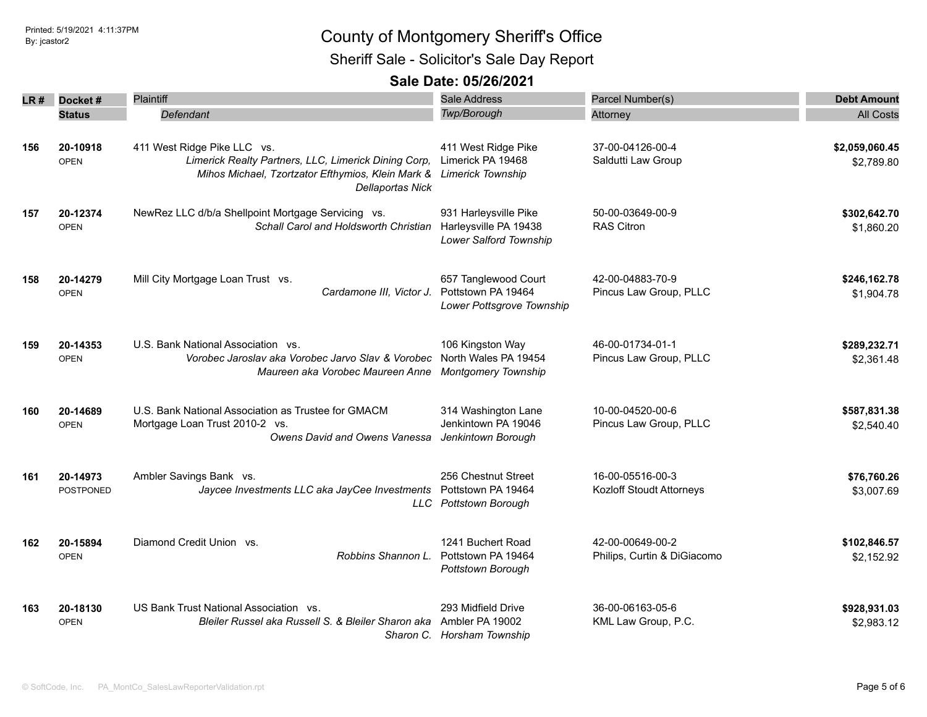Sheriff Sale - Solicitor's Sale Day Report

| LR # | Docket#          | Plaintiff                                                                    | <b>Sale Address</b>                           | Parcel Number(s)            | <b>Debt Amount</b> |
|------|------------------|------------------------------------------------------------------------------|-----------------------------------------------|-----------------------------|--------------------|
|      | <b>Status</b>    | Defendant                                                                    | <b>Twp/Borough</b>                            | Attorney                    | <b>All Costs</b>   |
|      |                  |                                                                              |                                               |                             |                    |
| 156  | 20-10918         | 411 West Ridge Pike LLC vs.                                                  | 411 West Ridge Pike                           | 37-00-04126-00-4            | \$2,059,060.45     |
|      | <b>OPEN</b>      | Limerick Realty Partners, LLC, Limerick Dining Corp,                         | Limerick PA 19468                             | Saldutti Law Group          | \$2.789.80         |
|      |                  | Mihos Michael, Tzortzator Efthymios, Klein Mark &<br><b>Dellaportas Nick</b> | <b>Limerick Township</b>                      |                             |                    |
| 157  | 20-12374         | NewRez LLC d/b/a Shellpoint Mortgage Servicing vs.                           | 931 Harleysville Pike                         | 50-00-03649-00-9            | \$302,642.70       |
|      | <b>OPEN</b>      | Schall Carol and Holdsworth Christian                                        | Harleysville PA 19438                         | <b>RAS Citron</b>           | \$1,860.20         |
|      |                  |                                                                              | Lower Salford Township                        |                             |                    |
| 158  | 20-14279         | Mill City Mortgage Loan Trust vs.                                            | 657 Tanglewood Court                          | 42-00-04883-70-9            | \$246,162.78       |
|      | <b>OPEN</b>      | Cardamone III, Victor J.                                                     | Pottstown PA 19464                            | Pincus Law Group, PLLC      | \$1,904.78         |
|      |                  |                                                                              | Lower Pottsgrove Township                     |                             |                    |
| 159  | 20-14353         | U.S. Bank National Association vs.                                           | 106 Kingston Way                              | 46-00-01734-01-1            | \$289,232.71       |
|      | <b>OPEN</b>      | Vorobec Jaroslav aka Vorobec Jarvo Slav & Vorobec                            | North Wales PA 19454                          | Pincus Law Group, PLLC      | \$2,361.48         |
|      |                  | Maureen aka Vorobec Maureen Anne                                             | <b>Montgomery Township</b>                    |                             |                    |
| 160  | 20-14689         | U.S. Bank National Association as Trustee for GMACM                          | 314 Washington Lane                           | 10-00-04520-00-6            | \$587,831.38       |
|      | <b>OPEN</b>      | Mortgage Loan Trust 2010-2 vs.                                               | Jenkintown PA 19046                           | Pincus Law Group, PLLC      | \$2,540.40         |
|      |                  | Owens David and Owens Vanessa                                                | Jenkintown Borough                            |                             |                    |
| 161  | 20-14973         | Ambler Savings Bank vs.                                                      | 256 Chestnut Street                           | 16-00-05516-00-3            | \$76,760.26        |
|      | <b>POSTPONED</b> | Jaycee Investments LLC aka JayCee Investments                                | Pottstown PA 19464                            | Kozloff Stoudt Attorneys    | \$3,007.69         |
|      |                  |                                                                              | LLC Pottstown Borough                         |                             |                    |
| 162  | 20-15894         | Diamond Credit Union vs.                                                     | 1241 Buchert Road                             | 42-00-00649-00-2            | \$102,846.57       |
|      | <b>OPEN</b>      | Robbins Shannon L.                                                           | Pottstown PA 19464                            | Philips, Curtin & DiGiacomo | \$2,152.92         |
|      |                  |                                                                              | Pottstown Borough                             |                             |                    |
| 163  | 20-18130         | US Bank Trust National Association vs.                                       | 293 Midfield Drive                            | 36-00-06163-05-6            | \$928,931.03       |
|      | <b>OPEN</b>      | Bleiler Russel aka Russell S. & Bleiler Sharon aka                           | Ambler PA 19002<br>Sharon C. Horsham Township | KML Law Group, P.C.         | \$2,983.12         |
|      |                  |                                                                              |                                               |                             |                    |